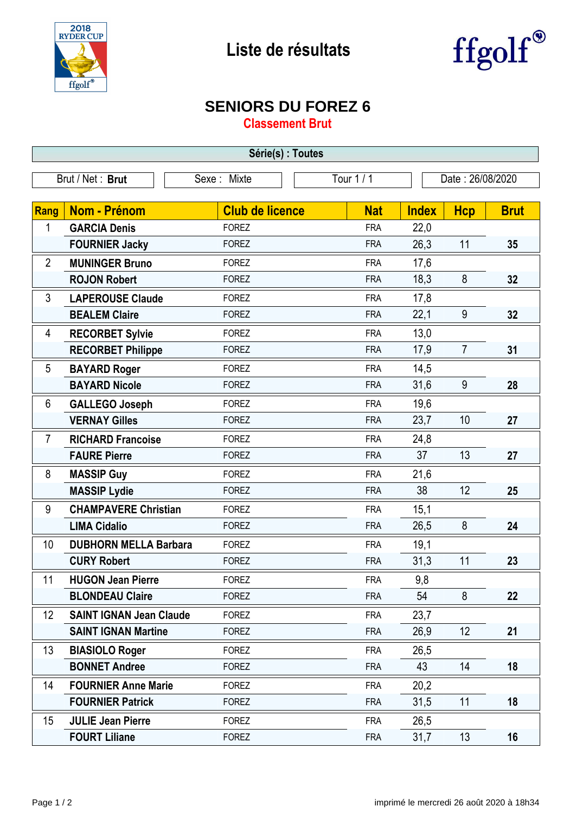



## **SENIORS DU FOREZ 6**

**Classement Brut**

| Série(s) : Toutes                                                 |                                |                        |            |              |                |             |  |  |  |
|-------------------------------------------------------------------|--------------------------------|------------------------|------------|--------------|----------------|-------------|--|--|--|
| Brut / Net: Brut<br>Tour 1 / 1<br>Sexe: Mixte<br>Date: 26/08/2020 |                                |                        |            |              |                |             |  |  |  |
|                                                                   |                                |                        |            |              |                |             |  |  |  |
| Rang                                                              | <b>Nom - Prénom</b>            | <b>Club de licence</b> | <b>Nat</b> | <b>Index</b> | <b>Hcp</b>     | <b>Brut</b> |  |  |  |
| 1                                                                 | <b>GARCIA Denis</b>            | <b>FOREZ</b>           | <b>FRA</b> | 22,0         |                |             |  |  |  |
|                                                                   | <b>FOURNIER Jacky</b>          | <b>FOREZ</b>           | <b>FRA</b> | 26,3         | 11             | 35          |  |  |  |
| $\overline{2}$                                                    | <b>MUNINGER Bruno</b>          | <b>FOREZ</b>           | <b>FRA</b> | 17,6         |                |             |  |  |  |
|                                                                   | <b>ROJON Robert</b>            | <b>FOREZ</b>           | <b>FRA</b> | 18,3         | 8              | 32          |  |  |  |
| 3                                                                 | <b>LAPEROUSE Claude</b>        | <b>FOREZ</b>           | <b>FRA</b> | 17,8         |                |             |  |  |  |
|                                                                   | <b>BEALEM Claire</b>           | <b>FOREZ</b>           | <b>FRA</b> | 22,1         | 9              | 32          |  |  |  |
| 4                                                                 | <b>RECORBET Sylvie</b>         | <b>FOREZ</b>           | <b>FRA</b> | 13,0         |                |             |  |  |  |
|                                                                   | <b>RECORBET Philippe</b>       | <b>FOREZ</b>           | <b>FRA</b> | 17,9         | $\overline{7}$ | 31          |  |  |  |
| 5                                                                 | <b>BAYARD Roger</b>            | <b>FOREZ</b>           | <b>FRA</b> | 14,5         |                |             |  |  |  |
|                                                                   | <b>BAYARD Nicole</b>           | <b>FOREZ</b>           | <b>FRA</b> | 31,6         | 9              | 28          |  |  |  |
| 6                                                                 | <b>GALLEGO Joseph</b>          | <b>FOREZ</b>           | <b>FRA</b> | 19,6         |                |             |  |  |  |
|                                                                   | <b>VERNAY Gilles</b>           | <b>FOREZ</b>           | <b>FRA</b> | 23,7         | 10             | 27          |  |  |  |
| $\overline{7}$                                                    | <b>RICHARD Francoise</b>       | <b>FOREZ</b>           | <b>FRA</b> | 24,8         |                |             |  |  |  |
|                                                                   | <b>FAURE Pierre</b>            | <b>FOREZ</b>           | <b>FRA</b> | 37           | 13             | 27          |  |  |  |
| 8                                                                 | <b>MASSIP Guy</b>              | <b>FOREZ</b>           | <b>FRA</b> | 21,6         |                |             |  |  |  |
|                                                                   | <b>MASSIP Lydie</b>            | <b>FOREZ</b>           | <b>FRA</b> | 38           | 12             | 25          |  |  |  |
| 9                                                                 | <b>CHAMPAVERE Christian</b>    | <b>FOREZ</b>           | <b>FRA</b> | 15,1         |                |             |  |  |  |
|                                                                   | <b>LIMA Cidalio</b>            | <b>FOREZ</b>           | <b>FRA</b> | 26,5         | 8              | 24          |  |  |  |
| 10                                                                | <b>DUBHORN MELLA Barbara</b>   | <b>FOREZ</b>           | <b>FRA</b> | 19,1         |                |             |  |  |  |
|                                                                   | <b>CURY Robert</b>             | <b>FOREZ</b>           | <b>FRA</b> | 31,3         | 11             | 23          |  |  |  |
| 11                                                                | <b>HUGON Jean Pierre</b>       | <b>FOREZ</b>           | <b>FRA</b> | 9,8          |                |             |  |  |  |
|                                                                   | <b>BLONDEAU Claire</b>         | <b>FOREZ</b>           | <b>FRA</b> | 54           | 8              | 22          |  |  |  |
| 12                                                                | <b>SAINT IGNAN Jean Claude</b> | <b>FOREZ</b>           | <b>FRA</b> | 23,7         |                |             |  |  |  |
|                                                                   | <b>SAINT IGNAN Martine</b>     | <b>FOREZ</b>           | <b>FRA</b> | 26,9         | 12             | 21          |  |  |  |
| 13                                                                | <b>BIASIOLO Roger</b>          | <b>FOREZ</b>           | <b>FRA</b> | 26,5         |                |             |  |  |  |
|                                                                   | <b>BONNET Andree</b>           | <b>FOREZ</b>           | <b>FRA</b> | 43           | 14             | 18          |  |  |  |
| 14                                                                | <b>FOURNIER Anne Marie</b>     | <b>FOREZ</b>           | <b>FRA</b> | 20,2         |                |             |  |  |  |
|                                                                   | <b>FOURNIER Patrick</b>        | <b>FOREZ</b>           | <b>FRA</b> | 31,5         | 11             | 18          |  |  |  |
| 15                                                                | <b>JULIE Jean Pierre</b>       | <b>FOREZ</b>           | <b>FRA</b> | 26,5         |                |             |  |  |  |
|                                                                   | <b>FOURT Liliane</b>           | <b>FOREZ</b>           | <b>FRA</b> | 31,7         | 13             | 16          |  |  |  |